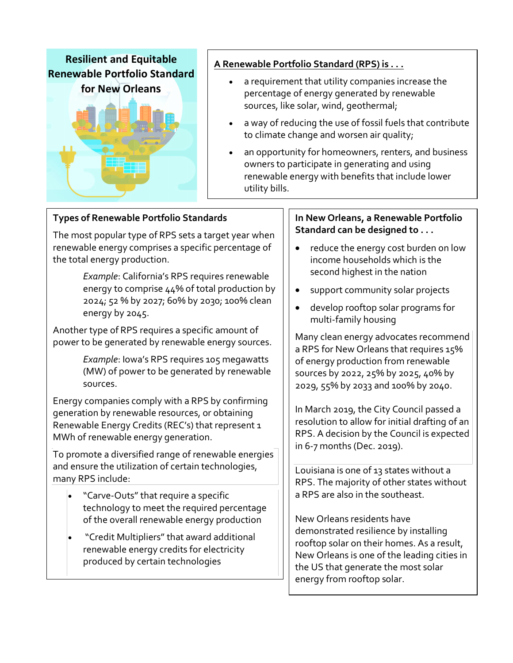# **Resilient and Equitable Renewable Portfolio Standard for New Orleans**



## **A Renewable Portfolio Standard (RPS) is . . .**

- a requirement that utility companies increase the percentage of energy generated by renewable sources, like solar, wind, geothermal;
- a way of reducing the use of fossil fuels that contribute to climate change and worsen air quality;
- an opportunity for homeowners, renters, and business owners to participate in generating and using renewable energy with benefits that include lower utility bills.

## **Types of Renewable Portfolio Standards**

The most popular type of RPS sets a target year when renewable energy comprises a specific percentage of the total energy production.

> *Example*: California's RPS requires renewable energy to comprise 44% of total production by 2024; 52 % by 2027; 60% by 2030; 100% clean energy by 2045.

Another type of RPS requires a specific amount of power to be generated by renewable energy sources.

> *Example*: Iowa's RPS requires 105 megawatts (MW) of power to be generated by renewable sources.

Energy companies comply with a RPS by confirming generation by renewable resources, or obtaining Renewable Energy Credits (REC's) that represent 1 MWh of renewable energy generation.

To promote a diversified range of renewable energies and ensure the utilization of certain technologies, many RPS include:

- "Carve-Outs" that require a specific technology to meet the required percentage of the overall renewable energy production
- "Credit Multipliers" that award additional renewable energy credits for electricity produced by certain technologies

#### **In New Orleans, a Renewable Portfolio Standard can be designed to . . .**

- reduce the energy cost burden on low income households which is the second highest in the nation
- support community solar projects
- develop rooftop solar programs for multi-family housing

Many clean energy advocates recommend a RPS for New Orleans that requires 15% of energy production from renewable sources by 2022, 25% by 2025, 40% by 2029, 55% by 2033 and 100% by 2040.

In March 2019, the City Council passed a resolution to allow for initial drafting of an RPS. A decision by the Council is expected in 6-7 months (Dec. 2019).

Louisiana is one of 13 states without a RPS. The majority of other states without a RPS are also in the southeast.

New Orleans residents have demonstrated resilience by installing rooftop solar on their homes. As a result, New Orleans is one of the leading cities in the US that generate the most solar energy from rooftop solar.